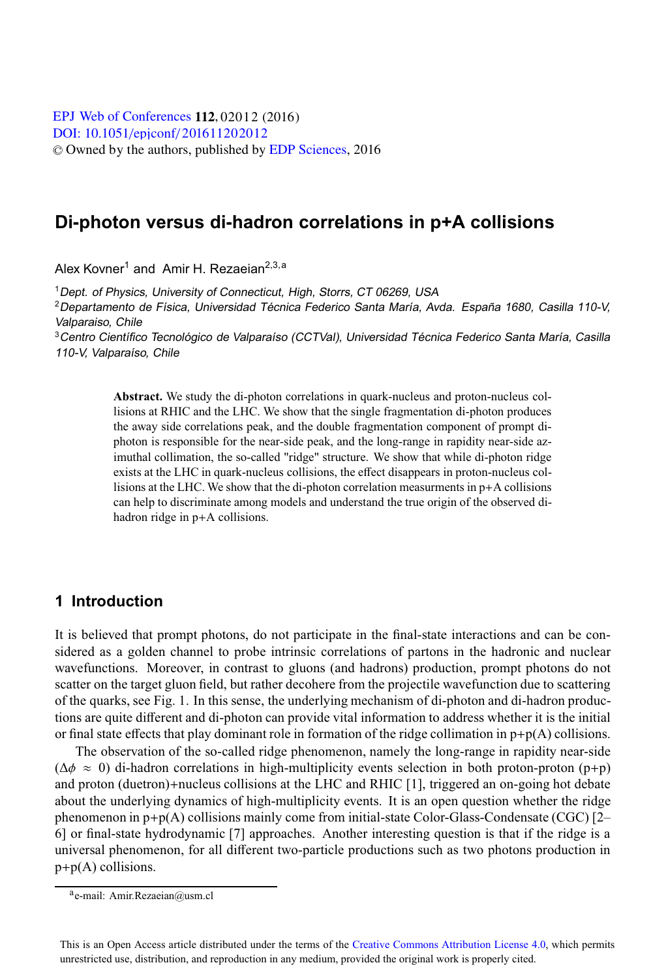[DOI: 10.1051](http://dx.doi.org/10.1051/epjconf/201611202012)/epjconf/201611202012 © Owned by the authors, published by [EDP Sciences](http://www.edpsciences.org), 2016 **EPJ Web of [Conferences](http://www.epj-conferences.org) 112, 02012 (2016)** 

# **Di-photon versus di-hadron correlations in p+A collisions**

Alex Kovner<sup>1</sup> and Amir H. Rezaeian<sup>2,3,a</sup>

<sup>1</sup> Dept. of Physics, University of Connecticut, High, Storrs, CT 06269, USA

<sup>2</sup>Departamento de Física, Universidad Técnica Federico Santa María, Avda. España 1680, Casilla 110-V, Valparaiso, Chile

<sup>3</sup>Centro Científico Tecnológico de Valparaíso (CCTVal), Universidad Técnica Federico Santa María, Casilla 110-V, Valparaíso, Chile

> **Abstract.** We study the di-photon correlations in quark-nucleus and proton-nucleus collisions at RHIC and the LHC. We show that the single fragmentation di-photon produces the away side correlations peak, and the double fragmentation component of prompt diphoton is responsible for the near-side peak, and the long-range in rapidity near-side azimuthal collimation, the so-called "ridge" structure. We show that while di-photon ridge exists at the LHC in quark-nucleus collisions, the effect disappears in proton-nucleus collisions at the LHC. We show that the di-photon correlation measurments in p+A collisions can help to discriminate among models and understand the true origin of the observed dihadron ridge in  $p+A$  collisions.

### **1 Introduction**

It is believed that prompt photons, do not participate in the final-state interactions and can be considered as a golden channel to probe intrinsic correlations of partons in the hadronic and nuclear wavefunctions. Moreover, in contrast to gluons (and hadrons) production, prompt photons do not scatter on the target gluon field, but rather decohere from the projectile wavefunction due to scattering of the quarks, see Fig. 1. In this sense, the underlying mechanism of di-photon and di-hadron productions are quite different and di-photon can provide vital information to address whether it is the initial or final state effects that play dominant role in formation of the ridge collimation in  $p+p(A)$  collisions.

The observation of the so-called ridge phenomenon, namely the long-range in rapidity near-side  $(\Delta \phi \approx 0)$  di-hadron correlations in high-multiplicity events selection in both proton-proton (p+p) and proton (duetron)+nucleus collisions at the LHC and RHIC [1], triggered an on-going hot debate about the underlying dynamics of high-multiplicity events. It is an open question whether the ridge phenomenon in  $p+p(A)$  collisions mainly come from initial-state Color-Glass-Condensate (CGC) [2– 6] or final-state hydrodynamic [7] approaches. Another interesting question is that if the ridge is a universal phenomenon, for all different two-particle productions such as two photons production in p+p(A) collisions.

This is an Open Access article distributed under the terms of the Creative Commons Attribution License 4.0, which permits unrestricted use, distribution, and reproduction in any medium, provided the original work is properly cited.

ae-mail: Amir.Rezaeian@usm.cl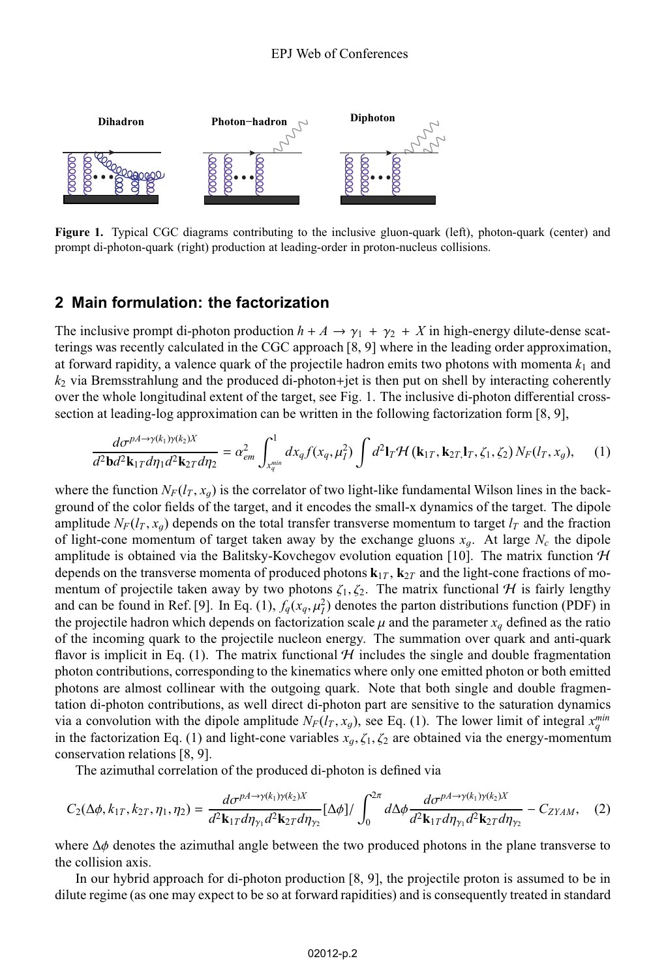

**Figure 1.** Typical CGC diagrams contributing to the inclusive gluon-quark (left), photon-quark (center) and prompt di-photon-quark (right) production at leading-order in proton-nucleus collisions.

#### **2 Main formulation: the factorization**

The inclusive prompt di-photon production  $h + A \rightarrow \gamma_1 + \gamma_2 + X$  in high-energy dilute-dense scatterings was recently calculated in the CGC approach [8, 9] where in the leading order approximation, at forward rapidity, a valence quark of the projectile hadron emits two photons with momenta *k*<sup>1</sup> and *k*<sup>2</sup> via Bremsstrahlung and the produced di-photon+jet is then put on shell by interacting coherently over the whole longitudinal extent of the target, see Fig. 1. The inclusive di-photon differential crosssection at leading-log approximation can be written in the following factorization form [8, 9],

$$
\frac{d\sigma^{pA\rightarrow\gamma(k_1)\gamma(k_2)X}}{d^2\mathbf{b}d^2\mathbf{k}_{1T}d\eta_1d^2\mathbf{k}_{2T}d\eta_2} = \alpha_{em}^2 \int_{x_q^{\min}}^1 dx_q f(x_q, \mu_I^2) \int d^2\mathbf{l}_T \mathcal{H}(\mathbf{k}_{1T}, \mathbf{k}_{2T}, \mathbf{l}_T, \zeta_1, \zeta_2) N_F(l_T, x_g), \quad (1)
$$

where the function  $N_F(l_T, x_q)$  is the correlator of two light-like fundamental Wilson lines in the background of the color fields of the target, and it encodes the small-x dynamics of the target. The dipole amplitude  $N_F(l_T, x_q)$  depends on the total transfer transverse momentum to target  $l_T$  and the fraction of light-cone momentum of target taken away by the exchange gluons  $x_g$ . At large  $N_c$  the dipole amplitude is obtained via the Balitsky-Kovchegov evolution equation [10]. The matrix function  $H$ depends on the transverse momenta of produced photons  $\mathbf{k}_{1T}$ ,  $\mathbf{k}_{2T}$  and the light-cone fractions of momentum of projectile taken away by two photons  $\zeta_1, \zeta_2$ . The matrix functional H is fairly lengthy and can be found in Ref. [9]. In Eq. (1),  $f_q(x_q, \mu_f^2)$  denotes the parton distributions function (PDF) in<br>the projectile hadron which depends on factorization scale u and the parameter x, defined as the ratio the projectile hadron which depends on factorization scale  $\mu$  and the parameter  $x_q$  defined as the ratio of the incoming quark to the projectile nucleon energy. The summation over quark and anti-quark flavor is implicit in Eq. (1). The matrix functional  $H$  includes the single and double fragmentation photon contributions, corresponding to the kinematics where only one emitted photon or both emitted photons are almost collinear with the outgoing quark. Note that both single and double fragmentation di-photon contributions, as well direct di-photon part are sensitive to the saturation dynamics via a convolution with the dipole amplitude  $N_F(l_T, x_g)$ , see Eq. (1). The lower limit of integral  $x_g^{min}$ <br>in the factorization Eq. (1) and light-cone variables  $x_1 \leq x_g$  are obtained via the energy-momentum in the factorization Eq. (1) and light-cone variables  $x_q, \zeta_1, \zeta_2$  are obtained via the energy-momentum conservation relations [8, 9].

The azimuthal correlation of the produced di-photon is defined via

$$
C_2(\Delta\phi, k_{1T}, k_{2T}, \eta_1, \eta_2) = \frac{d\sigma^{pA \to \gamma(k_1)\gamma(k_2)X}}{d^2\mathbf{k}_{1T}d\eta_{\gamma_1}d^2\mathbf{k}_{2T}d\eta_{\gamma_2}} [\Delta\phi]/\int_0^{2\pi} d\Delta\phi \frac{d\sigma^{pA \to \gamma(k_1)\gamma(k_2)X}}{d^2\mathbf{k}_{1T}d\eta_{\gamma_1}d^2\mathbf{k}_{2T}d\eta_{\gamma_2}} - C_{ZYAM}, \quad (2)
$$

where  $\Delta\phi$  denotes the azimuthal angle between the two produced photons in the plane transverse to the collision axis.

In our hybrid approach for di-photon production [8, 9], the projectile proton is assumed to be in dilute regime (as one may expect to be so at forward rapidities) and is consequently treated in standard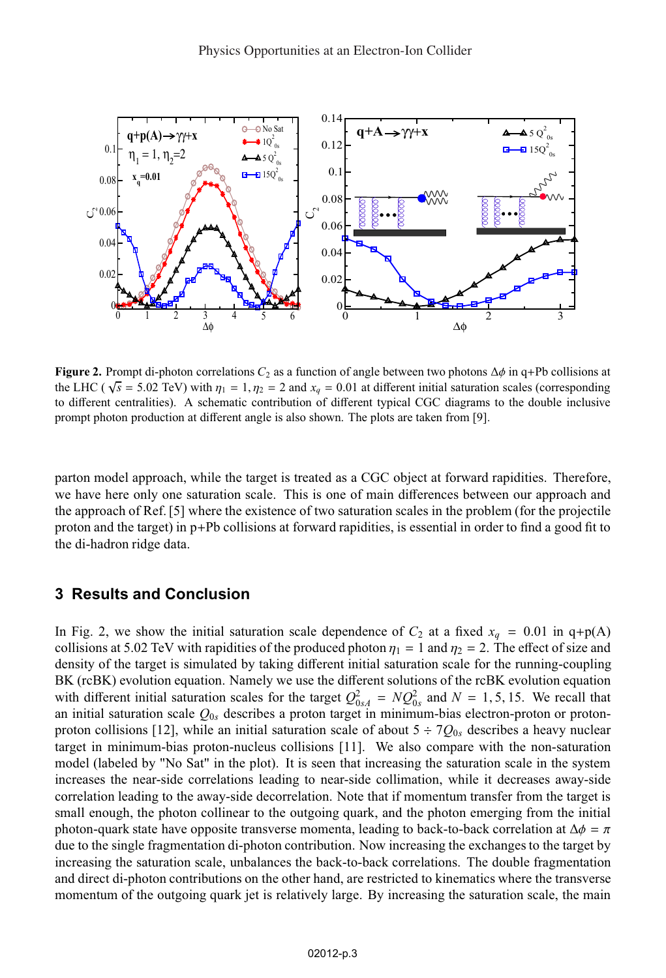

**Figure 2.** Prompt di-photon correlations  $C_2$  as a function of angle between two photons  $\Delta\phi$  in q+Pb collisions at the LHC ( $\sqrt{s}$  = 5.02 TeV) with  $\eta_1 = 1, \eta_2 = 2$  and  $x_q = 0.01$  at different initial saturation scales (corresponding to different centralities). A schematic contribution of different typical CGC diagrams to the double inclusive prompt photon production at different angle is also shown. The plots are taken from [9].

parton model approach, while the target is treated as a CGC object at forward rapidities. Therefore, we have here only one saturation scale. This is one of main differences between our approach and the approach of Ref. [5] where the existence of two saturation scales in the problem (for the projectile proton and the target) in p+Pb collisions at forward rapidities, is essential in order to find a good fit to the di-hadron ridge data.

#### **3 Results and Conclusion**

In Fig. 2, we show the initial saturation scale dependence of  $C_2$  at a fixed  $x_q = 0.01$  in q+p(A) collisions at 5.02 TeV with rapidities of the produced photon  $\eta_1 = 1$  and  $\eta_2 = 2$ . The effect of size and density of the target is simulated by taking different initial saturation scale for the running-coupling BK (rcBK) evolution equation. Namely we use the different solutions of the rcBK evolution equation with different initial saturation scales for the target  $Q_{0A}^2 = NQ_{0B}^2$  and  $N = 1, 5, 15$ . We recall that an initial saturation scale  $Q_0$  describes a proton target in minimum-bias electron-proton or protonan initial saturation scale  $Q_{0s}$  describes a proton target in minimum-bias electron-proton or protonproton collisions [12], while an initial saturation scale of about  $5 \div 7Q_{0s}$  describes a heavy nuclear target in minimum-bias proton-nucleus collisions [11]. We also compare with the non-saturation model (labeled by "No Sat" in the plot). It is seen that increasing the saturation scale in the system increases the near-side correlations leading to near-side collimation, while it decreases away-side correlation leading to the away-side decorrelation. Note that if momentum transfer from the target is small enough, the photon collinear to the outgoing quark, and the photon emerging from the initial photon-quark state have opposite transverse momenta, leading to back-to-back correlation at  $\Delta \phi = \pi$ due to the single fragmentation di-photon contribution. Now increasing the exchanges to the target by increasing the saturation scale, unbalances the back-to-back correlations. The double fragmentation and direct di-photon contributions on the other hand, are restricted to kinematics where the transverse momentum of the outgoing quark jet is relatively large. By increasing the saturation scale, the main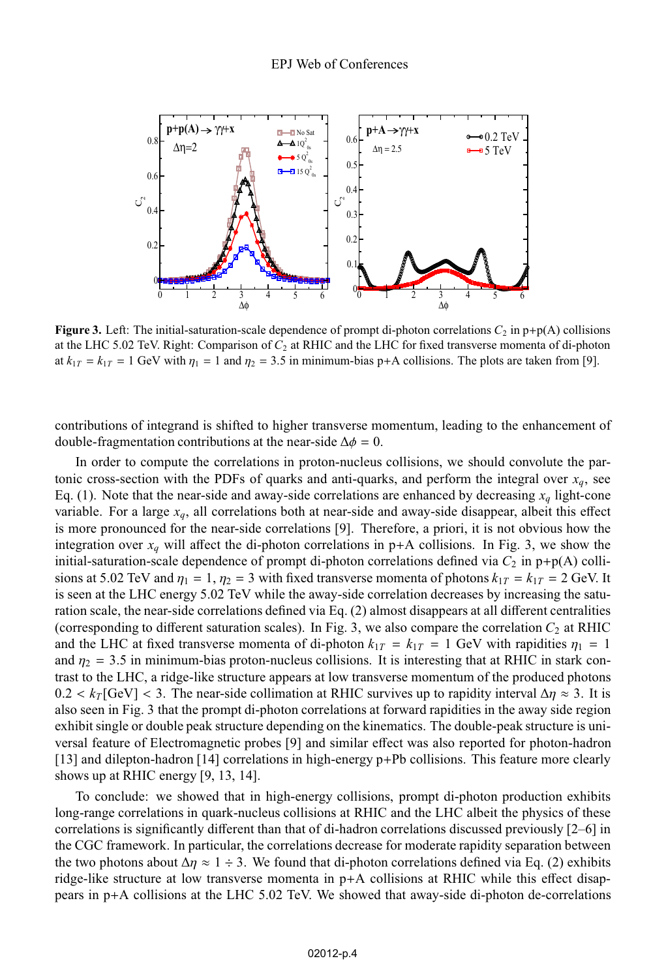

**Figure 3.** Left: The initial-saturation-scale dependence of prompt di-photon correlations  $C_2$  in  $p+p(A)$  collisions at the LHC 5.02 TeV. Right: Comparison of *C*<sup>2</sup> at RHIC and the LHC for fixed transverse momenta of di-photon at  $k_{1T} = k_{1T} = 1$  GeV with  $\eta_1 = 1$  and  $\eta_2 = 3.5$  in minimum-bias p+A collisions. The plots are taken from [9].

contributions of integrand is shifted to higher transverse momentum, leading to the enhancement of double-fragmentation contributions at the near-side  $\Delta \phi = 0$ .

In order to compute the correlations in proton-nucleus collisions, we should convolute the partonic cross-section with the PDFs of quarks and anti-quarks, and perform the integral over  $x_q$ , see Eq. (1). Note that the near-side and away-side correlations are enhanced by decreasing  $x_q$  light-cone variable. For a large *xq*, all correlations both at near-side and away-side disappear, albeit this effect is more pronounced for the near-side correlations [9]. Therefore, a priori, it is not obvious how the integration over  $x_q$  will affect the di-photon correlations in  $p+A$  collisions. In Fig. 3, we show the initial-saturation-scale dependence of prompt di-photon correlations defined via  $C_2$  in  $p+p(A)$  collisions at 5.02 TeV and  $\eta_1 = 1$ ,  $\eta_2 = 3$  with fixed transverse momenta of photons  $k_{1T} = k_{1T} = 2$  GeV. It is seen at the LHC energy 5.02 TeV while the away-side correlation decreases by increasing the saturation scale, the near-side correlations defined via Eq. (2) almost disappears at all different centralities (corresponding to different saturation scales). In Fig. 3, we also compare the correlation  $C_2$  at RHIC and the LHC at fixed transverse momenta of di-photon  $k_{1T} = k_{1T} = 1$  GeV with rapidities  $\eta_1 = 1$ and  $\eta_2 = 3.5$  in minimum-bias proton-nucleus collisions. It is interesting that at RHIC in stark contrast to the LHC, a ridge-like structure appears at low transverse momentum of the produced photons  $0.2 < k_T$  [GeV] < 3. The near-side collimation at RHIC survives up to rapidity interval  $\Delta \eta \approx 3$ . It is also seen in Fig. 3 that the prompt di-photon correlations at forward rapidities in the away side region exhibit single or double peak structure depending on the kinematics. The double-peak structure is universal feature of Electromagnetic probes [9] and similar effect was also reported for photon-hadron [13] and dilepton-hadron [14] correlations in high-energy p+Pb collisions. This feature more clearly shows up at RHIC energy [9, 13, 14].

To conclude: we showed that in high-energy collisions, prompt di-photon production exhibits long-range correlations in quark-nucleus collisions at RHIC and the LHC albeit the physics of these correlations is significantly different than that of di-hadron correlations discussed previously [2–6] in the CGC framework. In particular, the correlations decrease for moderate rapidity separation between the two photons about  $\Delta \eta \approx 1 \div 3$ . We found that di-photon correlations defined via Eq. (2) exhibits ridge-like structure at low transverse momenta in p+A collisions at RHIC while this effect disappears in p+A collisions at the LHC 5.02 TeV. We showed that away-side di-photon de-correlations